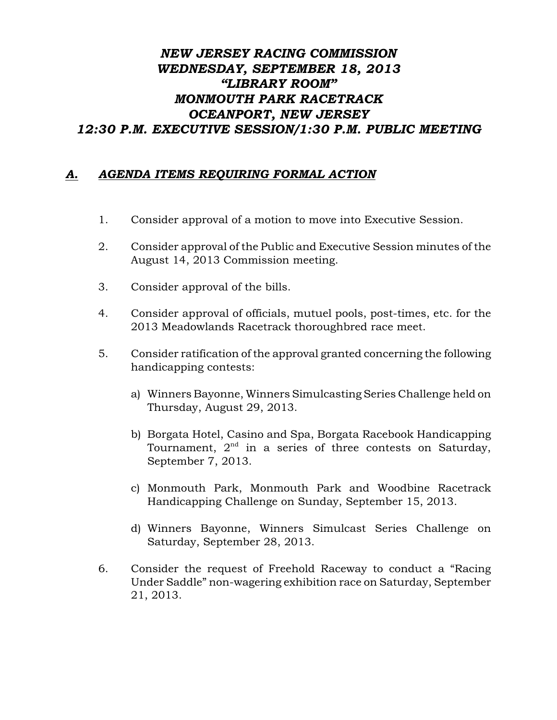## *NEW JERSEY RACING COMMISSION WEDNESDAY, SEPTEMBER 18, 2013 "LIBRARY ROOM" MONMOUTH PARK RACETRACK OCEANPORT, NEW JERSEY 12:30 P.M. EXECUTIVE SESSION/1:30 P.M. PUBLIC MEETING*

## *A. AGENDA ITEMS REQUIRING FORMAL ACTION*

- 1. Consider approval of a motion to move into Executive Session.
- 2. Consider approval of the Public and Executive Session minutes of the August 14, 2013 Commission meeting.
- 3. Consider approval of the bills.
- 4. Consider approval of officials, mutuel pools, post-times, etc. for the 2013 Meadowlands Racetrack thoroughbred race meet.
- 5. Consider ratification of the approval granted concerning the following handicapping contests:
	- a) Winners Bayonne, Winners Simulcasting Series Challenge held on Thursday, August 29, 2013.
	- b) Borgata Hotel, Casino and Spa, Borgata Racebook Handicapping Tournament,  $2<sup>nd</sup>$  in a series of three contests on Saturday, September 7, 2013.
	- c) Monmouth Park, Monmouth Park and Woodbine Racetrack Handicapping Challenge on Sunday, September 15, 2013.
	- d) Winners Bayonne, Winners Simulcast Series Challenge on Saturday, September 28, 2013.
- 6. Consider the request of Freehold Raceway to conduct a "Racing Under Saddle" non-wagering exhibition race on Saturday, September 21, 2013.